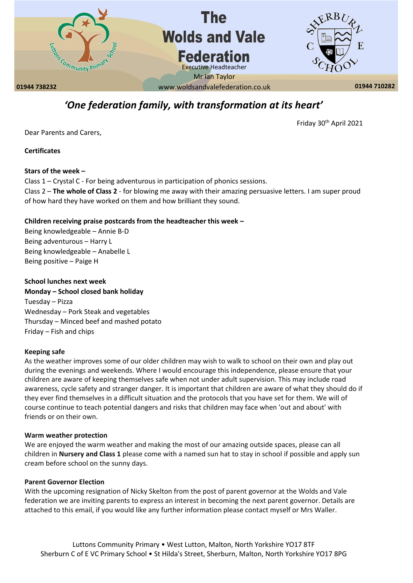

# *'One federation family, with transformation at its heart'*

Friday 30<sup>th</sup> April 2021

Dear Parents and Carers,

**Certificates** 

# **Stars of the week –**

Class 1 – Crystal C - For being adventurous in participation of phonics sessions. Class 2 – **The whole of Class 2** - for blowing me away with their amazing persuasive letters. I am super proud of how hard they have worked on them and how brilliant they sound.

# **Children receiving praise postcards from the headteacher this week –**

Being knowledgeable – Annie B-D Being adventurous – Harry L Being knowledgeable – Anabelle L Being positive – Paige H

**School lunches next week**

**Monday – School closed bank holiday**  Tuesday – Pizza Wednesday – Pork Steak and vegetables Thursday – Minced beef and mashed potato Friday – Fish and chips

# **Keeping safe**

As the weather improves some of our older children may wish to walk to school on their own and play out during the evenings and weekends. Where I would encourage this independence, please ensure that your children are aware of keeping themselves safe when not under adult supervision. This may include road awareness, cycle safety and stranger danger. It is important that children are aware of what they should do if they ever find themselves in a difficult situation and the protocols that you have set for them. We will of course continue to teach potential dangers and risks that children may face when 'out and about' with friends or on their own.

# **Warm weather protection**

We are enjoyed the warm weather and making the most of our amazing outside spaces, please can all children in **Nursery and Class 1** please come with a named sun hat to stay in school if possible and apply sun cream before school on the sunny days.

# **Parent Governor Election**

With the upcoming resignation of Nicky Skelton from the post of parent governor at the Wolds and Vale federation we are inviting parents to express an interest in becoming the next parent governor. Details are attached to this email, if you would like any further information please contact myself or Mrs Waller.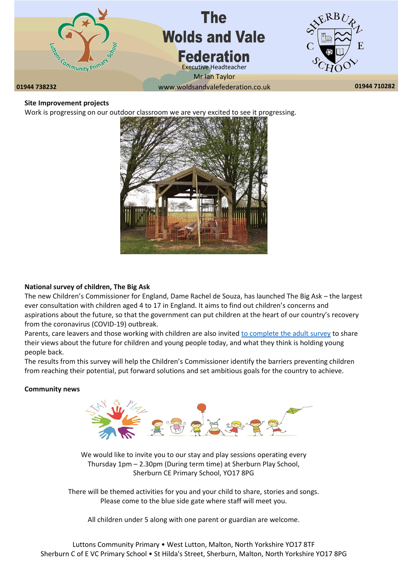

### **Site Improvement projects**

Work is progressing on our outdoor classroom we are very excited to see it progressing.



### **National survey of children, The Big Ask**

The new Children's Commissioner for England, Dame Rachel de Souza, has launched The Big Ask – the largest ever consultation with children aged 4 to 17 in England. It aims to find out children's concerns and aspirations about the future, so that the government can put children at the heart of our country's recovery from the coronavirus (COVID-19) outbreak.

Parents, care leavers and those working with children are also invited [to complete the adult survey](https://www.childrenscommissioner.gov.uk/thebigask/adults/) to share their views about the future for children and young people today, and what they think is holding young people back.

The results from this survey will help the Children's Commissioner identify the barriers preventing children from reaching their potential, put forward solutions and set ambitious goals for the country to achieve.

### **Community news**



We would like to invite you to our stay and play sessions operating every Thursday 1pm – 2.30pm (During term time) at Sherburn Play School, Sherburn CE Primary School, YO17 8PG

There will be themed activities for you and your child to share, stories and songs. Please come to the blue side gate where staff will meet you.

All children under 5 along with one parent or guardian are welcome.